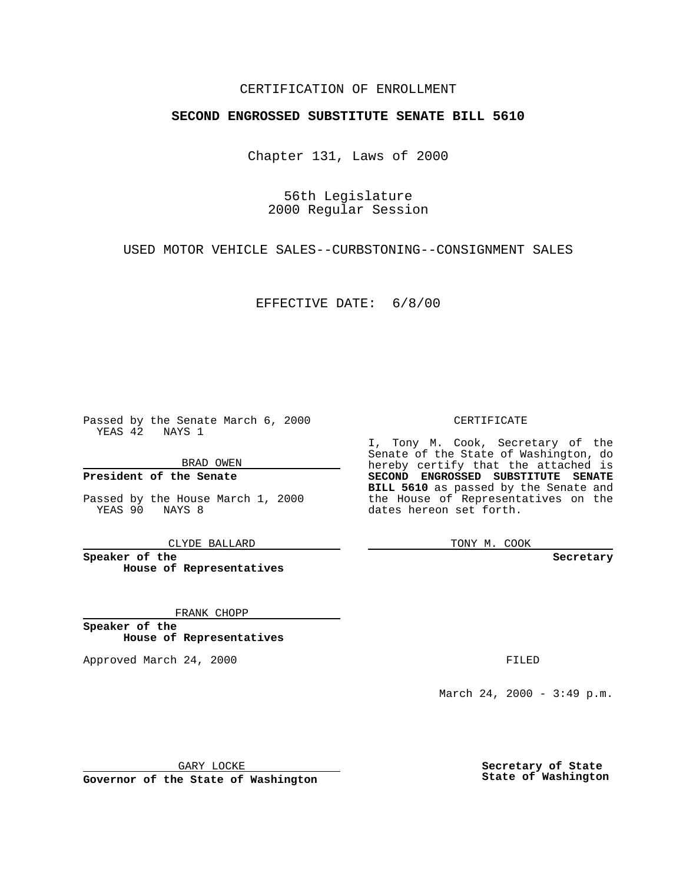### CERTIFICATION OF ENROLLMENT

# **SECOND ENGROSSED SUBSTITUTE SENATE BILL 5610**

Chapter 131, Laws of 2000

56th Legislature 2000 Regular Session

USED MOTOR VEHICLE SALES--CURBSTONING--CONSIGNMENT SALES

EFFECTIVE DATE: 6/8/00

Passed by the Senate March 6, 2000 YEAS 42 NAYS 1

BRAD OWEN

**President of the Senate**

Passed by the House March 1, 2000 YEAS 90 NAYS 8

CLYDE BALLARD

**Speaker of the House of Representatives**

FRANK CHOPP

**Speaker of the House of Representatives**

Approved March 24, 2000 FILED

#### CERTIFICATE

I, Tony M. Cook, Secretary of the Senate of the State of Washington, do hereby certify that the attached is **SECOND ENGROSSED SUBSTITUTE SENATE BILL 5610** as passed by the Senate and the House of Representatives on the dates hereon set forth.

TONY M. COOK

**Secretary**

March 24, 2000 - 3:49 p.m.

GARY LOCKE

**Governor of the State of Washington**

**Secretary of State State of Washington**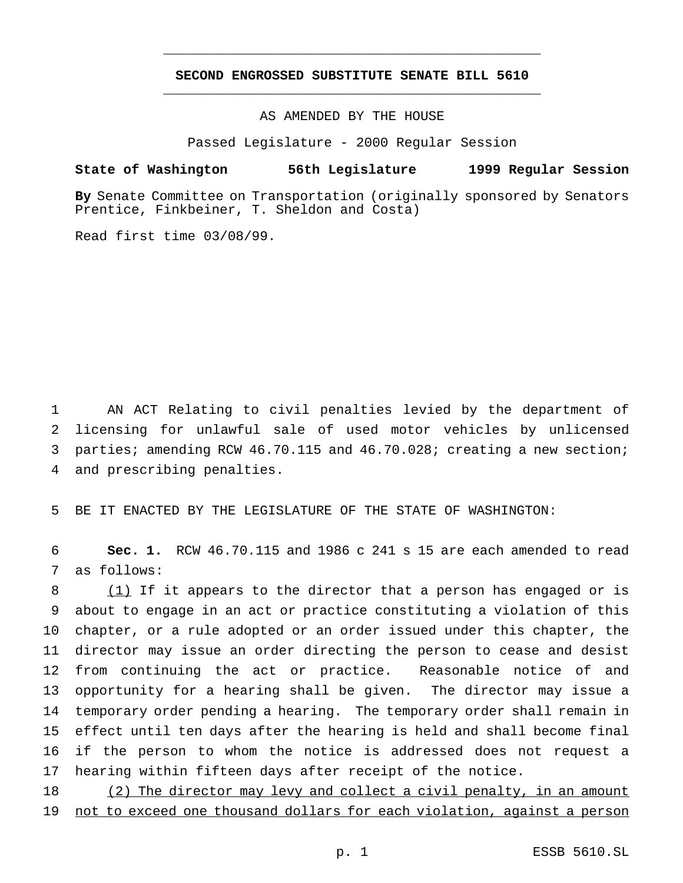## **SECOND ENGROSSED SUBSTITUTE SENATE BILL 5610** \_\_\_\_\_\_\_\_\_\_\_\_\_\_\_\_\_\_\_\_\_\_\_\_\_\_\_\_\_\_\_\_\_\_\_\_\_\_\_\_\_\_\_\_\_\_\_

\_\_\_\_\_\_\_\_\_\_\_\_\_\_\_\_\_\_\_\_\_\_\_\_\_\_\_\_\_\_\_\_\_\_\_\_\_\_\_\_\_\_\_\_\_\_\_

AS AMENDED BY THE HOUSE

Passed Legislature - 2000 Regular Session

#### **State of Washington 56th Legislature 1999 Regular Session**

**By** Senate Committee on Transportation (originally sponsored by Senators Prentice, Finkbeiner, T. Sheldon and Costa)

Read first time 03/08/99.

 AN ACT Relating to civil penalties levied by the department of licensing for unlawful sale of used motor vehicles by unlicensed parties; amending RCW 46.70.115 and 46.70.028; creating a new section; and prescribing penalties.

BE IT ENACTED BY THE LEGISLATURE OF THE STATE OF WASHINGTON:

 **Sec. 1.** RCW 46.70.115 and 1986 c 241 s 15 are each amended to read as follows:

 (1) If it appears to the director that a person has engaged or is about to engage in an act or practice constituting a violation of this chapter, or a rule adopted or an order issued under this chapter, the director may issue an order directing the person to cease and desist from continuing the act or practice. Reasonable notice of and opportunity for a hearing shall be given. The director may issue a temporary order pending a hearing. The temporary order shall remain in effect until ten days after the hearing is held and shall become final if the person to whom the notice is addressed does not request a hearing within fifteen days after receipt of the notice.

18 (2) The director may levy and collect a civil penalty, in an amount not to exceed one thousand dollars for each violation, against a person